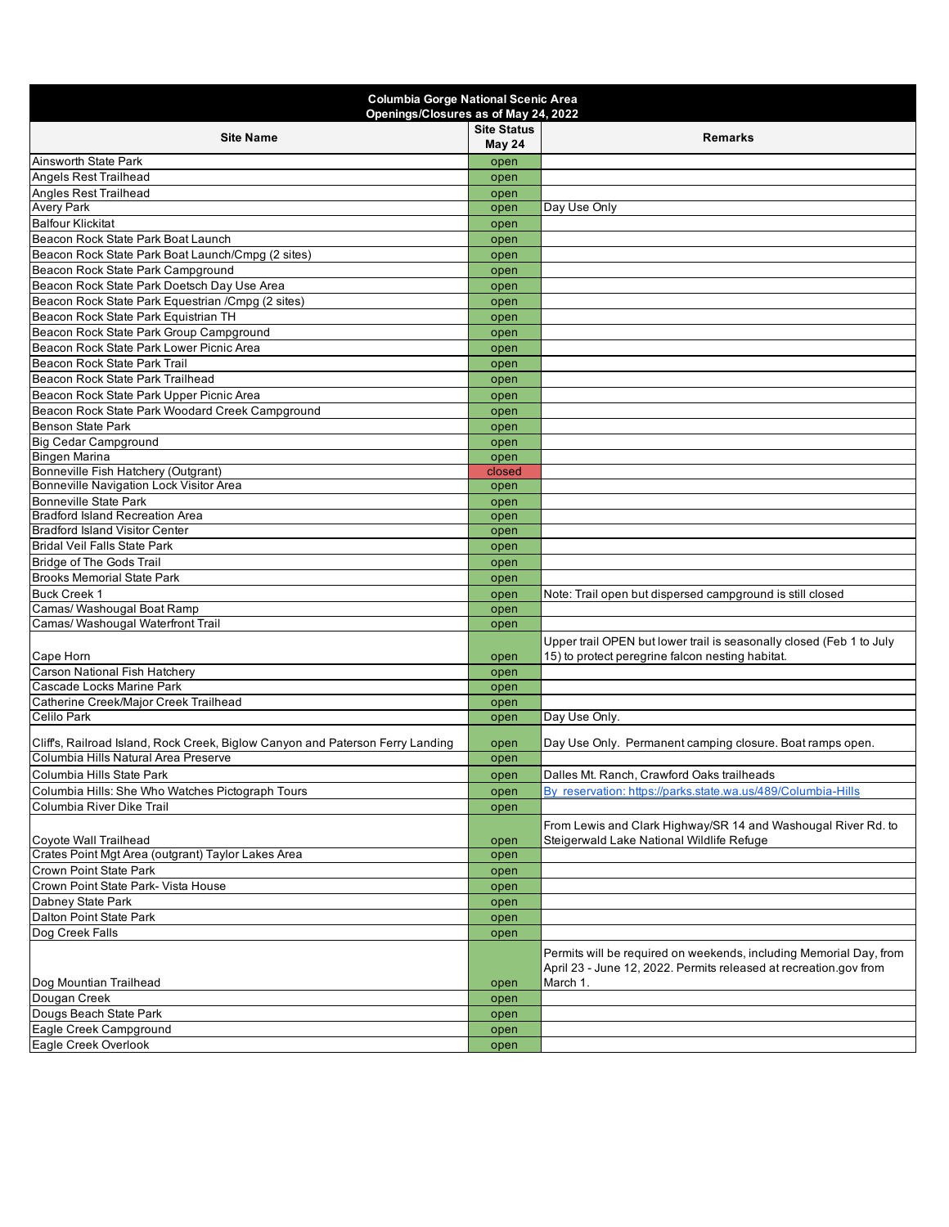| <b>Columbia Gorge National Scenic Area</b><br>Openings/Closures as of May 24, 2022                                    |                              |                                                                                                                                         |  |  |
|-----------------------------------------------------------------------------------------------------------------------|------------------------------|-----------------------------------------------------------------------------------------------------------------------------------------|--|--|
| <b>Site Name</b>                                                                                                      | <b>Site Status</b><br>May 24 | <b>Remarks</b>                                                                                                                          |  |  |
| Ainsworth State Park                                                                                                  | open                         |                                                                                                                                         |  |  |
| Angels Rest Trailhead                                                                                                 | open                         |                                                                                                                                         |  |  |
| Angles Rest Trailhead                                                                                                 | open                         |                                                                                                                                         |  |  |
| <b>Avery Park</b>                                                                                                     | open                         | Day Use Only                                                                                                                            |  |  |
| <b>Balfour Klickitat</b>                                                                                              | open                         |                                                                                                                                         |  |  |
| Beacon Rock State Park Boat Launch                                                                                    | open                         |                                                                                                                                         |  |  |
| Beacon Rock State Park Boat Launch/Cmpg (2 sites)                                                                     | open                         |                                                                                                                                         |  |  |
| Beacon Rock State Park Campground                                                                                     | open                         |                                                                                                                                         |  |  |
| Beacon Rock State Park Doetsch Day Use Area                                                                           | open                         |                                                                                                                                         |  |  |
| Beacon Rock State Park Equestrian / Cmpg (2 sites)                                                                    | open                         |                                                                                                                                         |  |  |
| Beacon Rock State Park Equistrian TH                                                                                  | open                         |                                                                                                                                         |  |  |
| Beacon Rock State Park Group Campground                                                                               | open                         |                                                                                                                                         |  |  |
| Beacon Rock State Park Lower Picnic Area                                                                              | open                         |                                                                                                                                         |  |  |
| Beacon Rock State Park Trail                                                                                          | open                         |                                                                                                                                         |  |  |
| Beacon Rock State Park Trailhead                                                                                      | open                         |                                                                                                                                         |  |  |
| Beacon Rock State Park Upper Picnic Area                                                                              | open                         |                                                                                                                                         |  |  |
| Beacon Rock State Park Woodard Creek Campground                                                                       | open                         |                                                                                                                                         |  |  |
| <b>Benson State Park</b>                                                                                              | open                         |                                                                                                                                         |  |  |
| <b>Big Cedar Campground</b>                                                                                           | open                         |                                                                                                                                         |  |  |
| <b>Bingen Marina</b>                                                                                                  | open                         |                                                                                                                                         |  |  |
| Bonneville Fish Hatchery (Outgrant)<br>Bonneville Navigation Lock Visitor Area                                        | closed                       |                                                                                                                                         |  |  |
| <b>Bonneville State Park</b>                                                                                          | open                         |                                                                                                                                         |  |  |
| <b>Bradford Island Recreation Area</b>                                                                                | open                         |                                                                                                                                         |  |  |
| <b>Bradford Island Visitor Center</b>                                                                                 | open                         |                                                                                                                                         |  |  |
| <b>Bridal Veil Falls State Park</b>                                                                                   | open<br>open                 |                                                                                                                                         |  |  |
| <b>Bridge of The Gods Trail</b>                                                                                       | open                         |                                                                                                                                         |  |  |
| <b>Brooks Memorial State Park</b>                                                                                     | open                         |                                                                                                                                         |  |  |
| <b>Buck Creek 1</b>                                                                                                   | open                         | Note: Trail open but dispersed campground is still closed                                                                               |  |  |
| Camas/ Washougal Boat Ramp                                                                                            | open                         |                                                                                                                                         |  |  |
| Camas/ Washougal Waterfront Trail                                                                                     | open                         |                                                                                                                                         |  |  |
|                                                                                                                       |                              | Upper trail OPEN but lower trail is seasonally closed (Feb 1 to July                                                                    |  |  |
| Cape Horn                                                                                                             | open                         | 15) to protect peregrine falcon nesting habitat.                                                                                        |  |  |
| <b>Carson National Fish Hatchery</b>                                                                                  | open                         |                                                                                                                                         |  |  |
| Cascade Locks Marine Park                                                                                             | open                         |                                                                                                                                         |  |  |
| Catherine Creek/Major Creek Trailhead                                                                                 | open                         |                                                                                                                                         |  |  |
| Celilo Park                                                                                                           | open                         | Day Use Only.                                                                                                                           |  |  |
|                                                                                                                       |                              |                                                                                                                                         |  |  |
| Cliffs, Railroad Island, Rock Creek, Biglow Canyon and Paterson Ferry Landing<br>Columbia Hills Natural Area Preserve | open                         | Day Use Only. Permanent camping closure. Boat ramps open.                                                                               |  |  |
|                                                                                                                       | open                         |                                                                                                                                         |  |  |
| Columbia Hills State Park                                                                                             | open                         | Dalles Mt. Ranch, Crawford Oaks trailheads                                                                                              |  |  |
| Columbia Hills: She Who Watches Pictograph Tours                                                                      | open                         | By reservation: https://parks.state.wa.us/489/Columbia-Hills                                                                            |  |  |
| Columbia River Dike Trail                                                                                             | open                         |                                                                                                                                         |  |  |
|                                                                                                                       |                              | From Lewis and Clark Highway/SR 14 and Washougal River Rd. to                                                                           |  |  |
| Coyote Wall Trailhead                                                                                                 | open                         | Steigerwald Lake National Wildlife Refuge                                                                                               |  |  |
| Crates Point Mgt Area (outgrant) Taylor Lakes Area                                                                    | open                         |                                                                                                                                         |  |  |
| Crown Point State Park                                                                                                | open                         |                                                                                                                                         |  |  |
| Crown Point State Park- Vista House                                                                                   | open                         |                                                                                                                                         |  |  |
| Dabney State Park                                                                                                     | open                         |                                                                                                                                         |  |  |
| Dalton Point State Park                                                                                               | open                         |                                                                                                                                         |  |  |
| Dog Creek Falls                                                                                                       | open                         |                                                                                                                                         |  |  |
|                                                                                                                       |                              | Permits will be required on weekends, including Memorial Day, from<br>April 23 - June 12, 2022. Permits released at recreation.gov from |  |  |
| Dog Mountian Trailhead                                                                                                | open                         | March 1.                                                                                                                                |  |  |
| Dougan Creek                                                                                                          | open                         |                                                                                                                                         |  |  |
| Dougs Beach State Park                                                                                                | open                         |                                                                                                                                         |  |  |
| Eagle Creek Campground                                                                                                | open                         |                                                                                                                                         |  |  |
| Eagle Creek Overlook                                                                                                  | open                         |                                                                                                                                         |  |  |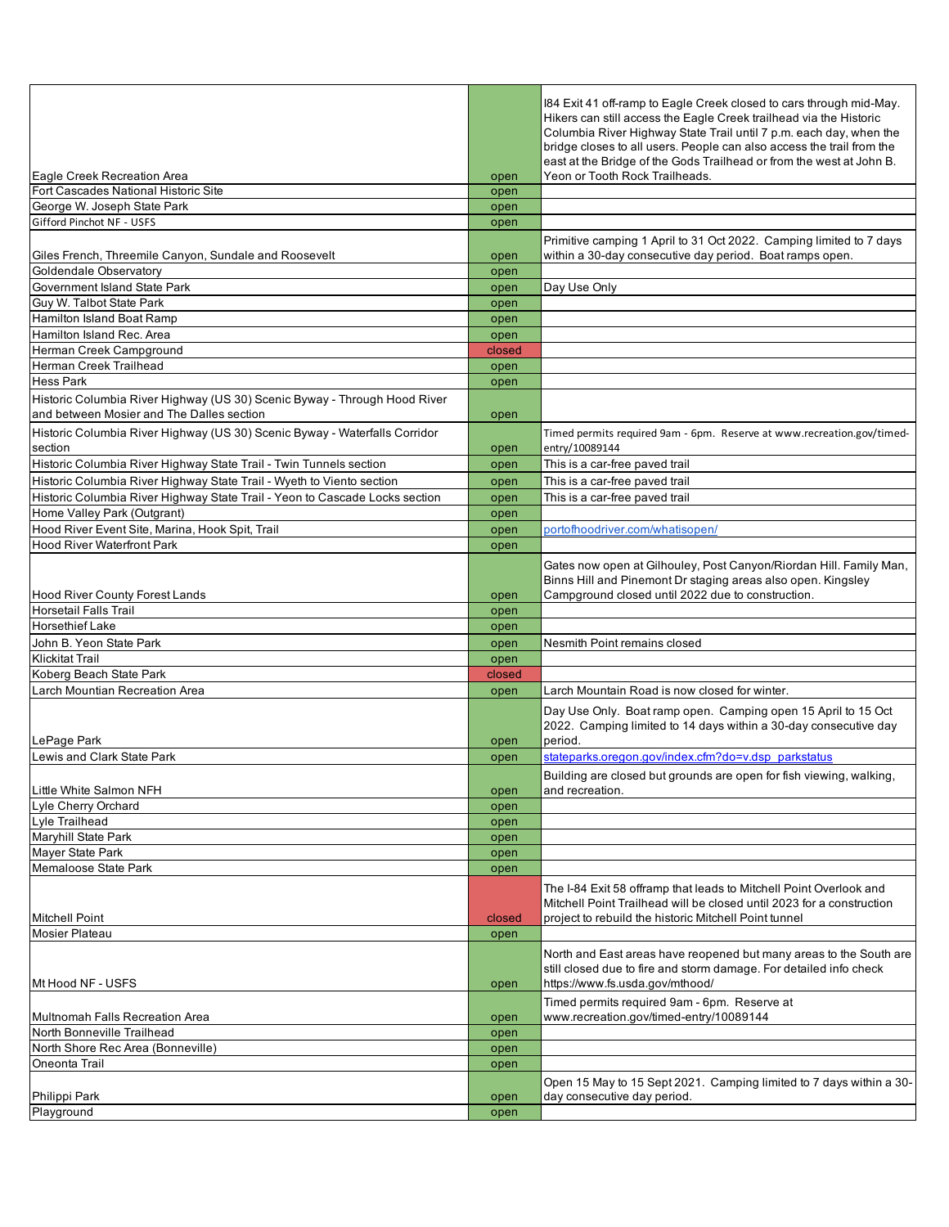| Eagle Creek Recreation Area                                                                                            |              | 184 Exit 41 off-ramp to Eagle Creek closed to cars through mid-May.<br>Hikers can still access the Eagle Creek trailhead via the Historic<br>Columbia River Highway State Trail until 7 p.m. each day, when the<br>bridge closes to all users. People can also access the trail from the<br>east at the Bridge of the Gods Trailhead or from the west at John B.<br>Yeon or Tooth Rock Trailheads. |
|------------------------------------------------------------------------------------------------------------------------|--------------|----------------------------------------------------------------------------------------------------------------------------------------------------------------------------------------------------------------------------------------------------------------------------------------------------------------------------------------------------------------------------------------------------|
| Fort Cascades National Historic Site                                                                                   | open<br>open |                                                                                                                                                                                                                                                                                                                                                                                                    |
| George W. Joseph State Park                                                                                            | open         |                                                                                                                                                                                                                                                                                                                                                                                                    |
| Gifford Pinchot NF - USFS                                                                                              |              |                                                                                                                                                                                                                                                                                                                                                                                                    |
|                                                                                                                        | open         |                                                                                                                                                                                                                                                                                                                                                                                                    |
| Giles French, Threemile Canyon, Sundale and Roosevelt                                                                  | open         | Primitive camping 1 April to 31 Oct 2022. Camping limited to 7 days<br>within a 30-day consecutive day period. Boat ramps open.                                                                                                                                                                                                                                                                    |
| Goldendale Observatory                                                                                                 | open         |                                                                                                                                                                                                                                                                                                                                                                                                    |
| Government Island State Park                                                                                           | open         | Day Use Only                                                                                                                                                                                                                                                                                                                                                                                       |
| Guy W. Talbot State Park                                                                                               | open         |                                                                                                                                                                                                                                                                                                                                                                                                    |
| Hamilton Island Boat Ramp                                                                                              | open         |                                                                                                                                                                                                                                                                                                                                                                                                    |
| Hamilton Island Rec. Area                                                                                              | open         |                                                                                                                                                                                                                                                                                                                                                                                                    |
| Herman Creek Campground                                                                                                | closed       |                                                                                                                                                                                                                                                                                                                                                                                                    |
| Herman Creek Trailhead                                                                                                 | open         |                                                                                                                                                                                                                                                                                                                                                                                                    |
| Hess Park                                                                                                              | open         |                                                                                                                                                                                                                                                                                                                                                                                                    |
| Historic Columbia River Highway (US 30) Scenic Byway - Through Hood River<br>and between Mosier and The Dalles section | open         |                                                                                                                                                                                                                                                                                                                                                                                                    |
| Historic Columbia River Highway (US 30) Scenic Byway - Waterfalls Corridor<br>section                                  | open         | Timed permits required 9am - 6pm. Reserve at www.recreation.gov/timed-<br>entry/10089144                                                                                                                                                                                                                                                                                                           |
| Historic Columbia River Highway State Trail - Twin Tunnels section                                                     | open         | This is a car-free paved trail                                                                                                                                                                                                                                                                                                                                                                     |
| Historic Columbia River Highway State Trail - Wyeth to Viento section                                                  | open         | This is a car-free paved trail                                                                                                                                                                                                                                                                                                                                                                     |
| Historic Columbia River Highway State Trail - Yeon to Cascade Locks section                                            | open         | This is a car-free paved trail                                                                                                                                                                                                                                                                                                                                                                     |
| Home Valley Park (Outgrant)                                                                                            | open         |                                                                                                                                                                                                                                                                                                                                                                                                    |
|                                                                                                                        |              |                                                                                                                                                                                                                                                                                                                                                                                                    |
| Hood River Event Site, Marina, Hook Spit, Trail                                                                        | open         | portofhoodriver.com/whatisopen/                                                                                                                                                                                                                                                                                                                                                                    |
| <b>Hood River Waterfront Park</b>                                                                                      | open         |                                                                                                                                                                                                                                                                                                                                                                                                    |
|                                                                                                                        |              | Gates now open at Gilhouley, Post Canyon/Riordan Hill. Family Man,<br>Binns Hill and Pinemont Dr staging areas also open. Kingsley                                                                                                                                                                                                                                                                 |
| <b>Hood River County Forest Lands</b>                                                                                  | open         | Campground closed until 2022 due to construction.                                                                                                                                                                                                                                                                                                                                                  |
| <b>Horsetail Falls Trail</b>                                                                                           | open         |                                                                                                                                                                                                                                                                                                                                                                                                    |
| <b>Horsethief Lake</b>                                                                                                 | open         |                                                                                                                                                                                                                                                                                                                                                                                                    |
| John B. Yeon State Park                                                                                                | open         | Nesmith Point remains closed                                                                                                                                                                                                                                                                                                                                                                       |
| <b>Klickitat Trail</b>                                                                                                 | open         |                                                                                                                                                                                                                                                                                                                                                                                                    |
| Koberg Beach State Park                                                                                                | closed       |                                                                                                                                                                                                                                                                                                                                                                                                    |
| Larch Mountian Recreation Area                                                                                         | open         | Larch Mountain Road is now closed for winter.                                                                                                                                                                                                                                                                                                                                                      |
| LePage Park                                                                                                            | open         | Day Use Only. Boat ramp open. Camping open 15 April to 15 Oct<br>2022. Camping limited to 14 days within a 30-day consecutive day<br>period.                                                                                                                                                                                                                                                       |
| Lewis and Clark State Park                                                                                             | open         | stateparks.oregon.gov/index.cfm?do=v.dsp parkstatus                                                                                                                                                                                                                                                                                                                                                |
| Little White Salmon NFH                                                                                                |              | Building are closed but grounds are open for fish viewing, walking,                                                                                                                                                                                                                                                                                                                                |
| Lyle Cherry Orchard                                                                                                    | open         | and recreation.                                                                                                                                                                                                                                                                                                                                                                                    |
| Lyle Trailhead                                                                                                         | open         |                                                                                                                                                                                                                                                                                                                                                                                                    |
| Maryhill State Park                                                                                                    | open         |                                                                                                                                                                                                                                                                                                                                                                                                    |
|                                                                                                                        | open         |                                                                                                                                                                                                                                                                                                                                                                                                    |
| Mayer State Park                                                                                                       | open         |                                                                                                                                                                                                                                                                                                                                                                                                    |
| Memaloose State Park                                                                                                   | open         | The I-84 Exit 58 offramp that leads to Mitchell Point Overlook and<br>Mitchell Point Trailhead will be closed until 2023 for a construction                                                                                                                                                                                                                                                        |
| <b>Mitchell Point</b>                                                                                                  | closed       | project to rebuild the historic Mitchell Point tunnel                                                                                                                                                                                                                                                                                                                                              |
| Mosier Plateau                                                                                                         | open         |                                                                                                                                                                                                                                                                                                                                                                                                    |
| Mt Hood NF - USFS                                                                                                      | open         | North and East areas have reopened but many areas to the South are<br>still closed due to fire and storm damage. For detailed info check<br>https://www.fs.usda.gov/mthood/                                                                                                                                                                                                                        |
|                                                                                                                        |              |                                                                                                                                                                                                                                                                                                                                                                                                    |
| Multnomah Falls Recreation Area                                                                                        | open         | Timed permits required 9am - 6pm. Reserve at<br>www.recreation.gov/timed-entry/10089144                                                                                                                                                                                                                                                                                                            |
| North Bonneville Trailhead                                                                                             | open         |                                                                                                                                                                                                                                                                                                                                                                                                    |
| North Shore Rec Area (Bonneville)                                                                                      | open         |                                                                                                                                                                                                                                                                                                                                                                                                    |
| Oneonta Trail<br>Philippi Park                                                                                         | open<br>open | Open 15 May to 15 Sept 2021. Camping limited to 7 days within a 30-<br>day consecutive day period.                                                                                                                                                                                                                                                                                                 |
| Playground                                                                                                             |              |                                                                                                                                                                                                                                                                                                                                                                                                    |
|                                                                                                                        | open         |                                                                                                                                                                                                                                                                                                                                                                                                    |